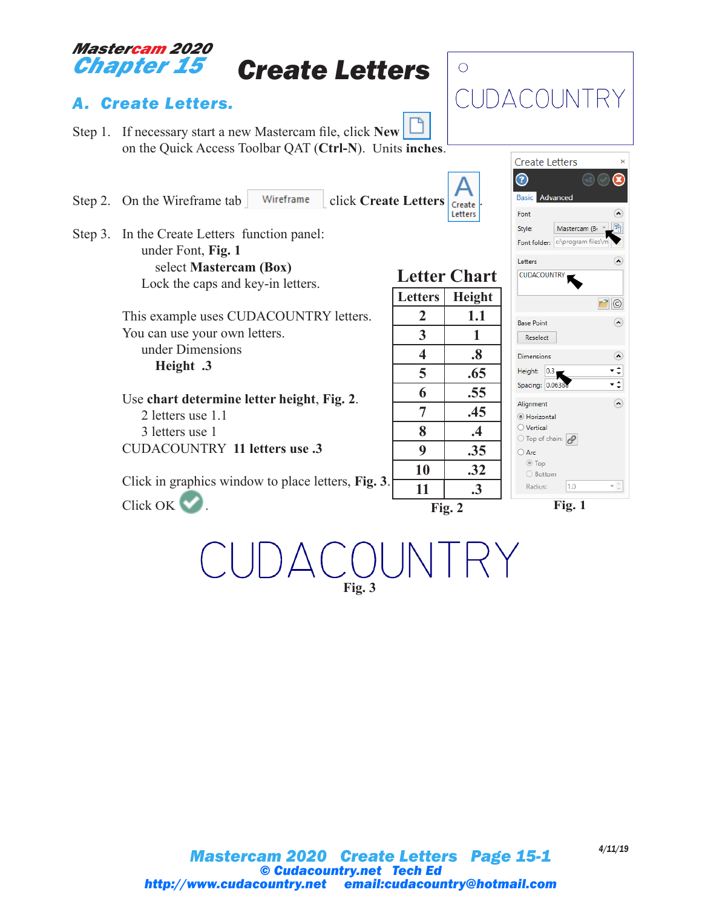## *Mastercam 2020 Chapter 15*

# *Create Letters*

## *A. Create Letters.*

- Step 1. If necessary start a new Mastercam file, click **New** on the Quick Access Toolbar QAT (**Ctrl-N**). Units **inches**.
- Step 2. On the Wireframe tab Wireframe click Create Letters <sub>Create</sub>
- Step 3. In the Create Letters function panel: under Font, **Fig. 1** select **Mastercam (Box)** Lock the caps and key-in letters.

This example uses CUDACOUNTRY letters. You can use your own letters. under Dimensions **Height .3**

Use **chart determine letter height**, **Fig. 2**. 2 letters use 1.1 3 letters use 1 CUDACOUNTRY **11 letters use .3**

Click in graphics window to place letters, **Fig. 3**. Click OK ...



CUDACOUNTRY

 $\alpha$ 

 $\Omega$ 

通

 $\Omega$ 

 $P$   $\circ$ 

 $\Omega$ 

 $\odot$ 

۰÷ ∹

 $\odot$ 

 $\tau \stackrel{\scriptscriptstyle \triangle}{_\tau}$ 

 $\bigcirc$ 

**Fig. 3**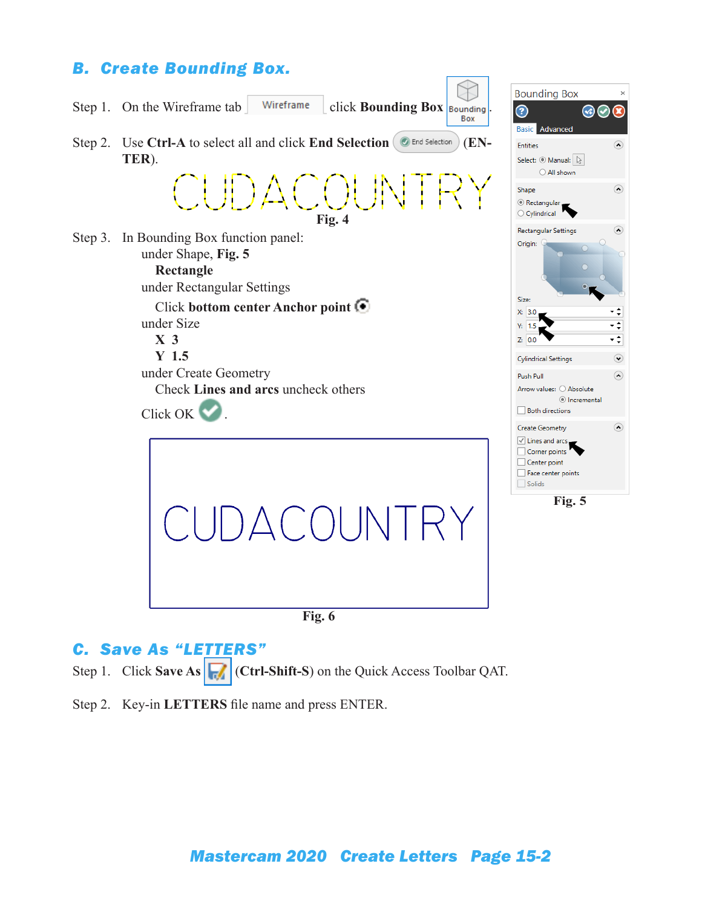### *B. Create Bounding Box.*



#### *C. Save As "LETTERS"*

Step 1. Click **Save As**  $\left|\frac{1}{\sqrt{n}}\right|$  (Ctrl-Shift-S) on the Quick Access Toolbar QAT.

Step 2. Key-in **LETTERS** file name and press ENTER.